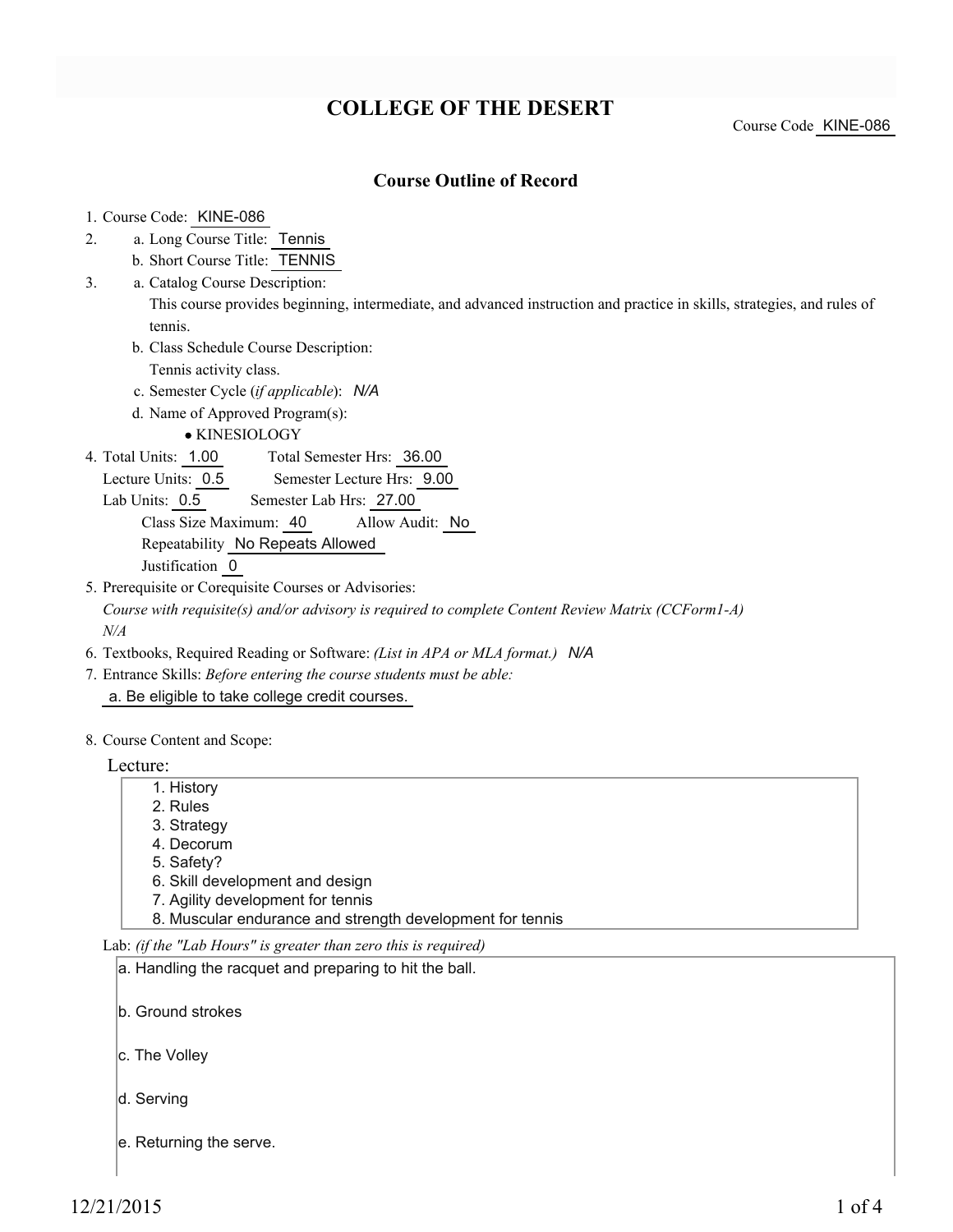# **COLLEGE OF THE DESERT**

Course Code KINE-086

### **Course Outline of Record**

#### 1. Course Code: KINE-086

- a. Long Course Title: Tennis 2.
	- b. Short Course Title: TENNIS
- Catalog Course Description: a. 3.

This course provides beginning, intermediate, and advanced instruction and practice in skills, strategies, and rules of tennis.

- b. Class Schedule Course Description:
	- Tennis activity class.
- c. Semester Cycle (*if applicable*): *N/A*
- d. Name of Approved Program(s):

KINESIOLOGY

Total Semester Hrs: 36.00 4. Total Units: 1.00

Lecture Units: 0.5 Semester Lecture Hrs: 9.00

Lab Units: 0.5 Semester Lab Hrs: 27.00

Class Size Maximum: 40 Allow Audit: No Repeatability No Repeats Allowed

Justification 0

5. Prerequisite or Corequisite Courses or Advisories:

*Course with requisite(s) and/or advisory is required to complete Content Review Matrix (CCForm1-A) N/A*

- 6. Textbooks, Required Reading or Software: *(List in APA or MLA format.) N/A*
- Entrance Skills: *Before entering the course students must be able:* 7. a. Be eligible to take college credit courses.
- 8. Course Content and Scope:

Lecture:

- 1. History
- 2. Rules
- 3. Strategy
- 4. Decorum
- 5. Safety?
- 6. Skill development and design
- 7. Agility development for tennis
- 8. Muscular endurance and strength development for tennis

Lab: *(if the "Lab Hours" is greater than zero this is required)*

| a. Handling the racquet and preparing to hit the ball. |  |
|--------------------------------------------------------|--|
|--------------------------------------------------------|--|

- b. Ground strokes
- c. The Volley
- d. Serving
- e. Returning the serve.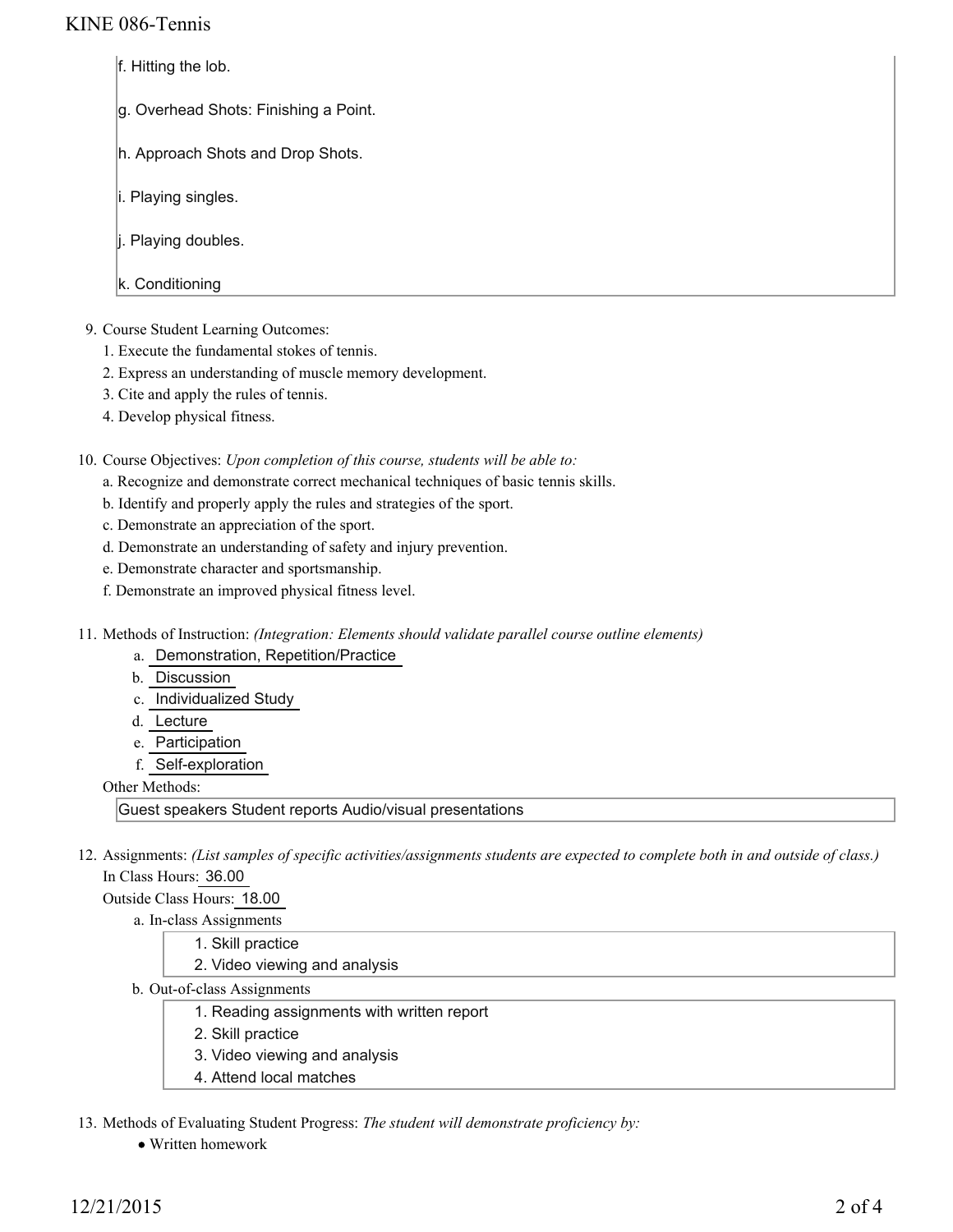## KINE 086-Tennis

- f. Hitting the lob.
- g. Overhead Shots: Finishing a Point.
- h. Approach Shots and Drop Shots.
- i. Playing singles.
- j. Playing doubles.
- k. Conditioning
- 9. Course Student Learning Outcomes:
	- 1. Execute the fundamental stokes of tennis.
	- 2. Express an understanding of muscle memory development.
	- 3. Cite and apply the rules of tennis.
	- 4. Develop physical fitness.

10. Course Objectives: Upon completion of this course, students will be able to:

- a. Recognize and demonstrate correct mechanical techniques of basic tennis skills.
- b. Identify and properly apply the rules and strategies of the sport.
- c. Demonstrate an appreciation of the sport.
- d. Demonstrate an understanding of safety and injury prevention.
- e. Demonstrate character and sportsmanship.
- f. Demonstrate an improved physical fitness level.
- Methods of Instruction: *(Integration: Elements should validate parallel course outline elements)* 11.
	- a. Demonstration, Repetition/Practice
	- b. Discussion
	- c. Individualized Study
	- d. Lecture
	- e. Participation
	- f. Self-exploration

Other Methods:

Guest speakers Student reports Audio/visual presentations

12. Assignments: (List samples of specific activities/assignments students are expected to complete both in and outside of class.) In Class Hours: 36.00

Outside Class Hours: 18.00

a. In-class Assignments

- 1. Skill practice
	- 2. Video viewing and analysis
- b. Out-of-class Assignments
	- 1. Reading assignments with written report
	- 2. Skill practice
	- 3. Video viewing and analysis
	- 4. Attend local matches

13. Methods of Evaluating Student Progress: The student will demonstrate proficiency by:

Written homework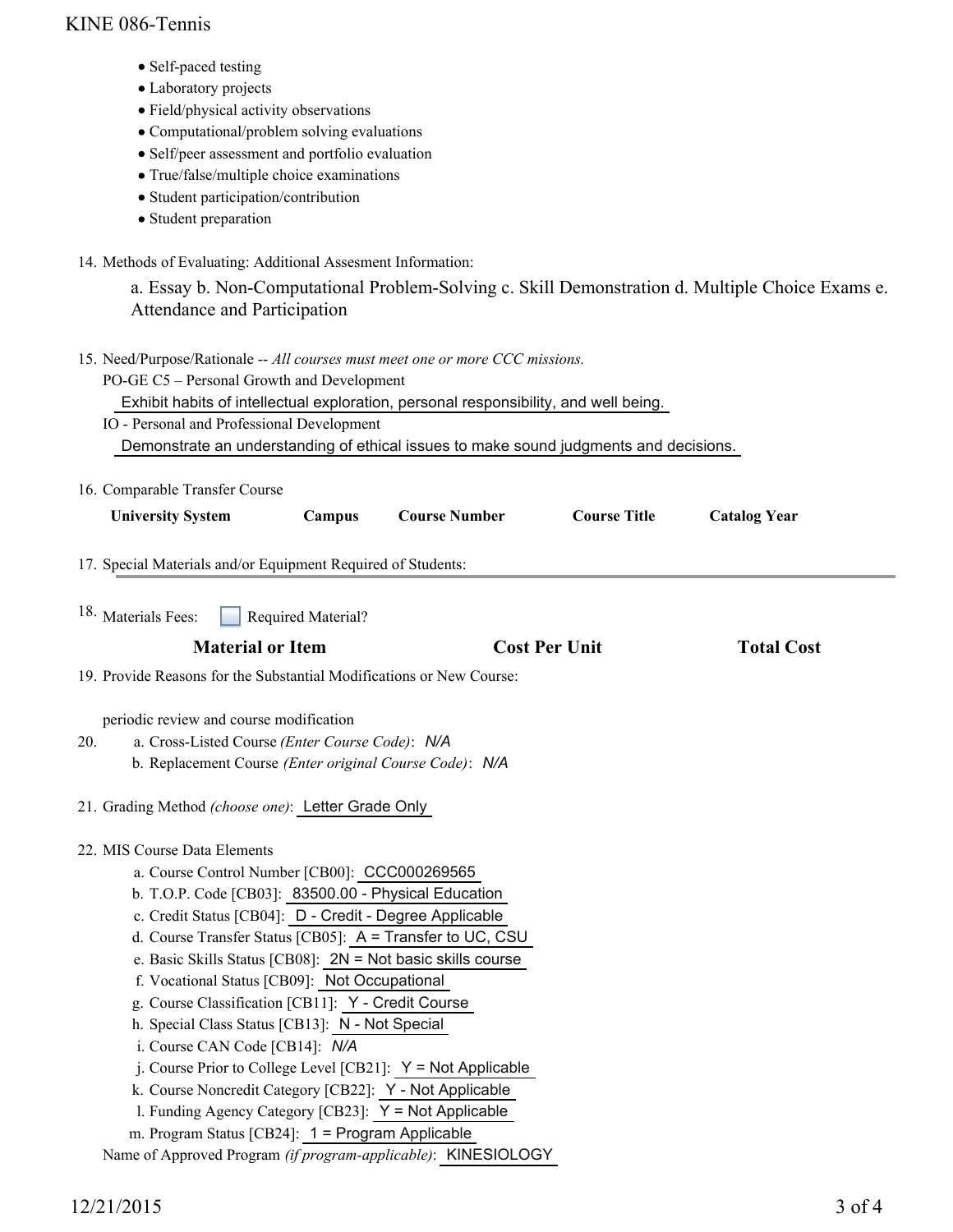## KINE 086-Tennis

- Self-paced testing
- Laboratory projects
- Field/physical activity observations
- Computational/problem solving evaluations
- Self/peer assessment and portfolio evaluation
- True/false/multiple choice examinations
- Student participation/contribution
- Student preparation
- 14. Methods of Evaluating: Additional Assesment Information:

a. Essay b. Non-Computational Problem-Solving c. Skill Demonstration d. Multiple Choice Exams e. Attendance and Participation

- 15. Need/Purpose/Rationale -- All courses must meet one or more CCC missions.
	- PO-GE C5 Personal Growth and Development

Exhibit habits of intellectual exploration, personal responsibility, and well being.

IO - Personal and Professional Development

Demonstrate an understanding of ethical issues to make sound judgments and decisions.

16. Comparable Transfer Course

| <b>University System</b> | Campus | <b>Course Number</b> | <b>Course Title</b> | <b>Catalog Year</b> |
|--------------------------|--------|----------------------|---------------------|---------------------|
|                          |        |                      |                     |                     |

17. Special Materials and/or Equipment Required of Students:

Required Material? 18. Materials Fees:

| <b>Total Cost</b><br><b>Cost Per Unit</b><br><b>Material or Item</b> |
|----------------------------------------------------------------------|
|----------------------------------------------------------------------|

19. Provide Reasons for the Substantial Modifications or New Course:

periodic review and course modification

- a. Cross-Listed Course *(Enter Course Code)*: *N/A* b. Replacement Course *(Enter original Course Code)*: *N/A* 20.
- 21. Grading Method *(choose one)*: Letter Grade Only
- 22. MIS Course Data Elements
	- a. Course Control Number [CB00]: CCC000269565
	- b. T.O.P. Code [CB03]: 83500.00 Physical Education
	- c. Credit Status [CB04]: D Credit Degree Applicable
	- d. Course Transfer Status [CB05]: A = Transfer to UC, CSU
	- e. Basic Skills Status [CB08]: 2N = Not basic skills course
	- f. Vocational Status [CB09]: Not Occupational
	- g. Course Classification [CB11]: Y Credit Course
	- h. Special Class Status [CB13]: N Not Special
	- i. Course CAN Code [CB14]: *N/A*
	- j. Course Prior to College Level [CB21]: Y = Not Applicable
	- k. Course Noncredit Category [CB22]: Y Not Applicable
	- l. Funding Agency Category [CB23]: Y = Not Applicable
	- m. Program Status [CB24]: 1 = Program Applicable

Name of Approved Program *(if program-applicable)*: KINESIOLOGY